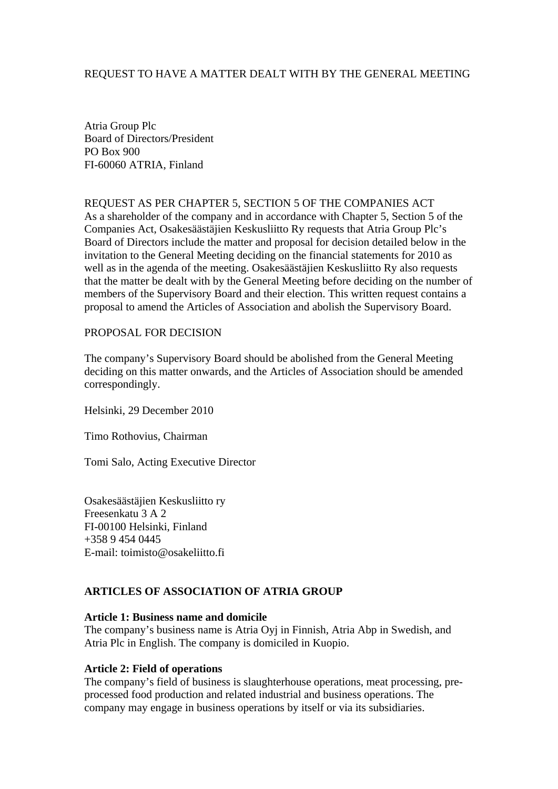## REQUEST TO HAVE A MATTER DEALT WITH BY THE GENERAL MEETING

Atria Group Plc Board of Directors/President PO Box 900 FI-60060 ATRIA, Finland

REQUEST AS PER CHAPTER 5, SECTION 5 OF THE COMPANIES ACT As a shareholder of the company and in accordance with Chapter 5, Section 5 of the Companies Act, Osakesäästäjien Keskusliitto Ry requests that Atria Group Plc's Board of Directors include the matter and proposal for decision detailed below in the invitation to the General Meeting deciding on the financial statements for 2010 as well as in the agenda of the meeting. Osakesäästäjien Keskusliitto Ry also requests that the matter be dealt with by the General Meeting before deciding on the number of members of the Supervisory Board and their election. This written request contains a proposal to amend the Articles of Association and abolish the Supervisory Board.

## PROPOSAL FOR DECISION

The company's Supervisory Board should be abolished from the General Meeting deciding on this matter onwards, and the Articles of Association should be amended correspondingly.

Helsinki, 29 December 2010

Timo Rothovius, Chairman

Tomi Salo, Acting Executive Director

Osakesäästäjien Keskusliitto ry Freesenkatu 3 A 2 FI-00100 Helsinki, Finland +358 9 454 0445 E-mail: toimisto@osakeliitto.fi

## **ARTICLES OF ASSOCIATION OF ATRIA GROUP**

#### **Article 1: Business name and domicile**

The company's business name is Atria Oyj in Finnish, Atria Abp in Swedish, and Atria Plc in English. The company is domiciled in Kuopio.

#### **Article 2: Field of operations**

The company's field of business is slaughterhouse operations, meat processing, preprocessed food production and related industrial and business operations. The company may engage in business operations by itself or via its subsidiaries.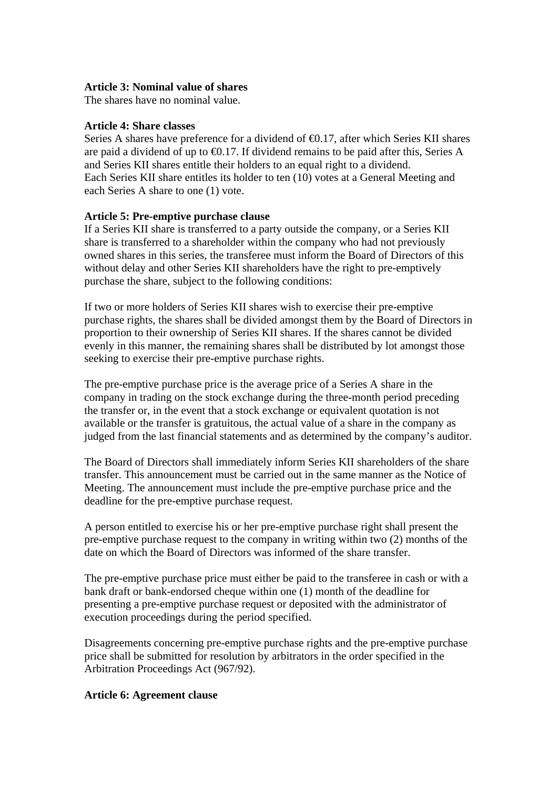## **Article 3: Nominal value of shares**

The shares have no nominal value.

## **Article 4: Share classes**

Series A shares have preference for a dividend of  $\Theta$ .17, after which Series KII shares are paid a dividend of up to  $\bigoplus$ .17. If dividend remains to be paid after this, Series A and Series KII shares entitle their holders to an equal right to a dividend. Each Series KII share entitles its holder to ten (10) votes at a General Meeting and each Series A share to one (1) vote.

# **Article 5: Pre-emptive purchase clause**

If a Series KII share is transferred to a party outside the company, or a Series KII share is transferred to a shareholder within the company who had not previously owned shares in this series, the transferee must inform the Board of Directors of this without delay and other Series KII shareholders have the right to pre-emptively purchase the share, subject to the following conditions:

If two or more holders of Series KII shares wish to exercise their pre-emptive purchase rights, the shares shall be divided amongst them by the Board of Directors in proportion to their ownership of Series KII shares. If the shares cannot be divided evenly in this manner, the remaining shares shall be distributed by lot amongst those seeking to exercise their pre-emptive purchase rights.

The pre-emptive purchase price is the average price of a Series A share in the company in trading on the stock exchange during the three-month period preceding the transfer or, in the event that a stock exchange or equivalent quotation is not available or the transfer is gratuitous, the actual value of a share in the company as judged from the last financial statements and as determined by the company's auditor.

The Board of Directors shall immediately inform Series KII shareholders of the share transfer. This announcement must be carried out in the same manner as the Notice of Meeting. The announcement must include the pre-emptive purchase price and the deadline for the pre-emptive purchase request.

A person entitled to exercise his or her pre-emptive purchase right shall present the pre-emptive purchase request to the company in writing within two (2) months of the date on which the Board of Directors was informed of the share transfer.

The pre-emptive purchase price must either be paid to the transferee in cash or with a bank draft or bank-endorsed cheque within one (1) month of the deadline for presenting a pre-emptive purchase request or deposited with the administrator of execution proceedings during the period specified.

Disagreements concerning pre-emptive purchase rights and the pre-emptive purchase price shall be submitted for resolution by arbitrators in the order specified in the Arbitration Proceedings Act (967/92).

# **Article 6: Agreement clause**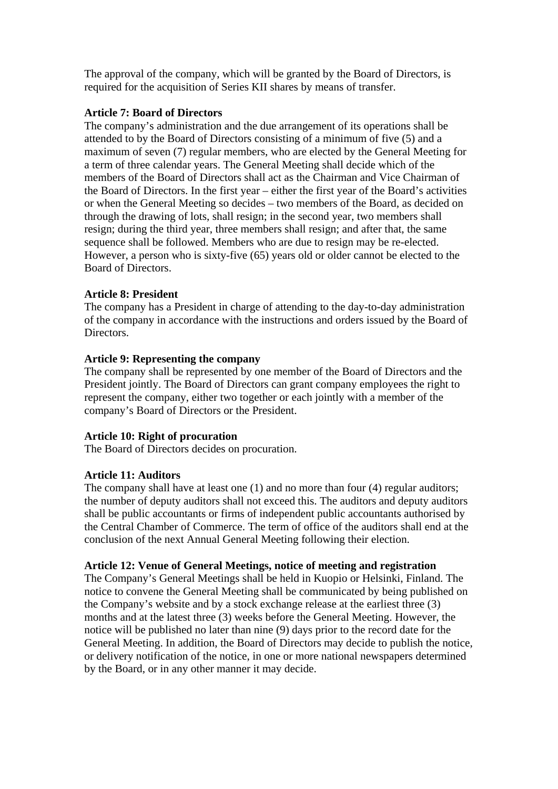The approval of the company, which will be granted by the Board of Directors, is required for the acquisition of Series KII shares by means of transfer.

## **Article 7: Board of Directors**

The company's administration and the due arrangement of its operations shall be attended to by the Board of Directors consisting of a minimum of five (5) and a maximum of seven (7) regular members, who are elected by the General Meeting for a term of three calendar years. The General Meeting shall decide which of the members of the Board of Directors shall act as the Chairman and Vice Chairman of the Board of Directors. In the first year – either the first year of the Board's activities or when the General Meeting so decides – two members of the Board, as decided on through the drawing of lots, shall resign; in the second year, two members shall resign; during the third year, three members shall resign; and after that, the same sequence shall be followed. Members who are due to resign may be re-elected. However, a person who is sixty-five (65) years old or older cannot be elected to the Board of Directors.

# **Article 8: President**

The company has a President in charge of attending to the day-to-day administration of the company in accordance with the instructions and orders issued by the Board of Directors.

## **Article 9: Representing the company**

The company shall be represented by one member of the Board of Directors and the President jointly. The Board of Directors can grant company employees the right to represent the company, either two together or each jointly with a member of the company's Board of Directors or the President.

## **Article 10: Right of procuration**

The Board of Directors decides on procuration.

# **Article 11: Auditors**

The company shall have at least one (1) and no more than four (4) regular auditors; the number of deputy auditors shall not exceed this. The auditors and deputy auditors shall be public accountants or firms of independent public accountants authorised by the Central Chamber of Commerce. The term of office of the auditors shall end at the conclusion of the next Annual General Meeting following their election.

## **Article 12: Venue of General Meetings, notice of meeting and registration**

The Company's General Meetings shall be held in Kuopio or Helsinki, Finland. The notice to convene the General Meeting shall be communicated by being published on the Company's website and by a stock exchange release at the earliest three (3) months and at the latest three (3) weeks before the General Meeting. However, the notice will be published no later than nine (9) days prior to the record date for the General Meeting. In addition, the Board of Directors may decide to publish the notice, or delivery notification of the notice, in one or more national newspapers determined by the Board, or in any other manner it may decide.